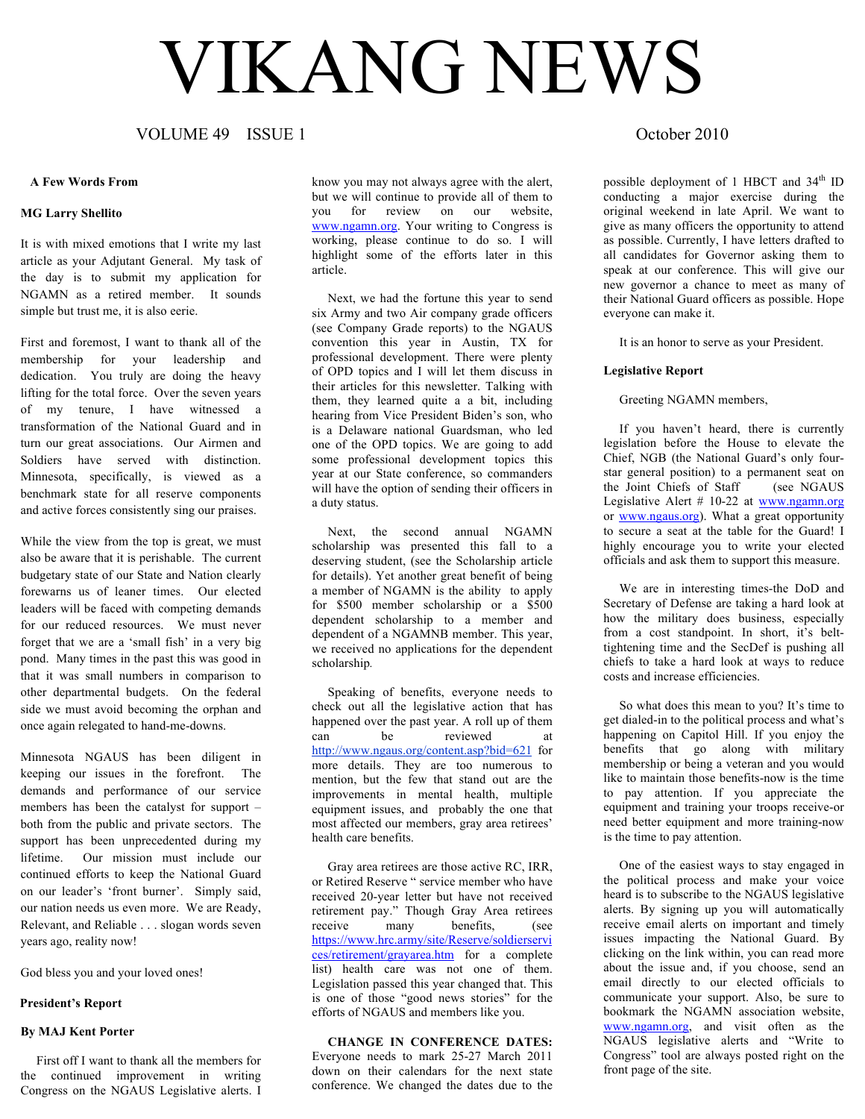# VIKANG NEWS

## VOLUME 49 ISSUE 1 COLUME 49 October 2010

#### **A Few Words From**

#### **MG Larry Shellito**

It is with mixed emotions that I write my last article as your Adjutant General. My task of the day is to submit my application for NGAMN as a retired member. It sounds simple but trust me, it is also eerie.

First and foremost, I want to thank all of the membership for your leadership and dedication. You truly are doing the heavy lifting for the total force. Over the seven years of my tenure, I have witnessed a transformation of the National Guard and in turn our great associations. Our Airmen and Soldiers have served with distinction. Minnesota, specifically, is viewed as a benchmark state for all reserve components and active forces consistently sing our praises.

While the view from the top is great, we must also be aware that it is perishable. The current budgetary state of our State and Nation clearly forewarns us of leaner times. Our elected leaders will be faced with competing demands for our reduced resources. We must never forget that we are a 'small fish' in a very big pond. Many times in the past this was good in that it was small numbers in comparison to other departmental budgets. On the federal side we must avoid becoming the orphan and once again relegated to hand-me-downs.

Minnesota NGAUS has been diligent in keeping our issues in the forefront. The demands and performance of our service members has been the catalyst for support – both from the public and private sectors. The support has been unprecedented during my lifetime. Our mission must include our continued efforts to keep the National Guard on our leader's 'front burner'. Simply said, our nation needs us even more. We are Ready, Relevant, and Reliable . . . slogan words seven years ago, reality now!

God bless you and your loved ones!

#### **President's Report**

#### **By MAJ Kent Porter**

First off I want to thank all the members for the continued improvement in writing Congress on the NGAUS Legislative alerts. I

know you may not always agree with the alert, but we will continue to provide all of them to you for review on our website, www.ngamn.org. Your writing to Congress is working, please continue to do so. I will highlight some of the efforts later in this article.

 Next, we had the fortune this year to send six Army and two Air company grade officers (see Company Grade reports) to the NGAUS convention this year in Austin, TX for professional development. There were plenty of OPD topics and I will let them discuss in their articles for this newsletter. Talking with them, they learned quite a a bit, including hearing from Vice President Biden's son, who is a Delaware national Guardsman, who led one of the OPD topics. We are going to add some professional development topics this year at our State conference, so commanders will have the option of sending their officers in a duty status.

 Next, the second annual NGAMN scholarship was presented this fall to a deserving student, (see the Scholarship article for details). Yet another great benefit of being a member of NGAMN is the ability to apply for \$500 member scholarship or a \$500 dependent scholarship to a member and dependent of a NGAMNB member. This year, we received no applications for the dependent scholarship*.*

 Speaking of benefits, everyone needs to check out all the legislative action that has happened over the past year. A roll up of them can be reviewed at http://www.ngaus.org/content.asp?bid=621 for more details. They are too numerous to mention, but the few that stand out are the improvements in mental health, multiple equipment issues, and probably the one that most affected our members, gray area retirees' health care benefits.

 Gray area retirees are those active RC, IRR, or Retired Reserve " service member who have received 20-year letter but have not received retirement pay." Though Gray Area retirees receive many benefits, (see https://www.hrc.army/site/Reserve/soldierservi ces/retirement/grayarea.htm for a complete list) health care was not one of them. Legislation passed this year changed that. This is one of those "good news stories" for the efforts of NGAUS and members like you.

#### **CHANGE IN CONFERENCE DATES:**

Everyone needs to mark 25-27 March 2011 down on their calendars for the next state conference. We changed the dates due to the

possible deployment of 1 HBCT and  $34<sup>th</sup>$  ID conducting a major exercise during the original weekend in late April. We want to give as many officers the opportunity to attend as possible. Currently, I have letters drafted to all candidates for Governor asking them to speak at our conference. This will give our new governor a chance to meet as many of their National Guard officers as possible. Hope everyone can make it.

It is an honor to serve as your President.

#### **Legislative Report**

Greeting NGAMN members,

If you haven't heard, there is currently legislation before the House to elevate the Chief, NGB (the National Guard's only fourstar general position) to a permanent seat on the Joint Chiefs of Staff (see NGAUS Legislative Alert  $# 10-22$  at www.ngamn.org or www.ngaus.org). What a great opportunity to secure a seat at the table for the Guard! I highly encourage you to write your elected officials and ask them to support this measure.

 We are in interesting times-the DoD and Secretary of Defense are taking a hard look at how the military does business, especially from a cost standpoint. In short, it's belttightening time and the SecDef is pushing all chiefs to take a hard look at ways to reduce costs and increase efficiencies.

 So what does this mean to you? It's time to get dialed-in to the political process and what's happening on Capitol Hill. If you enjoy the benefits that go along with military membership or being a veteran and you would like to maintain those benefits-now is the time to pay attention. If you appreciate the equipment and training your troops receive-or need better equipment and more training-now is the time to pay attention.

 One of the easiest ways to stay engaged in the political process and make your voice heard is to subscribe to the NGAUS legislative alerts. By signing up you will automatically receive email alerts on important and timely issues impacting the National Guard. By clicking on the link within, you can read more about the issue and, if you choose, send an email directly to our elected officials to communicate your support. Also, be sure to bookmark the NGAMN association website, www.ngamn.org, and visit often as the NGAUS legislative alerts and "Write to Congress" tool are always posted right on the front page of the site.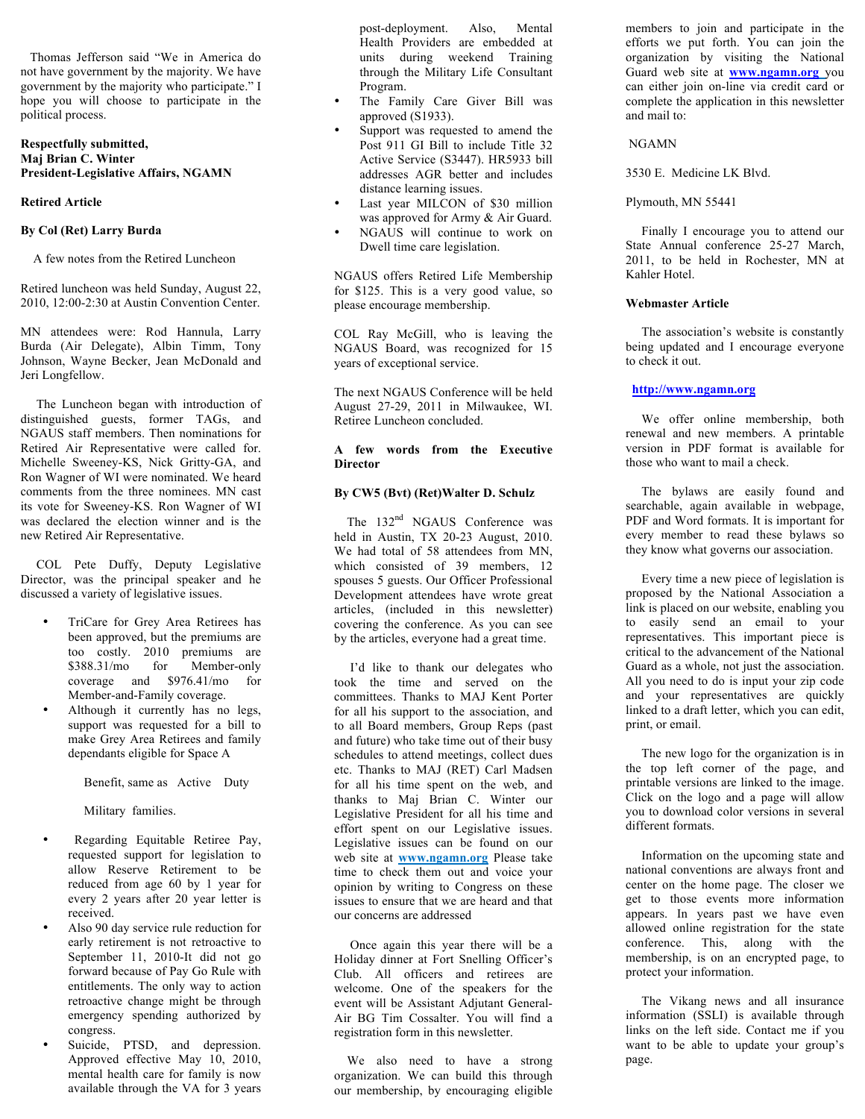Thomas Jefferson said "We in America do not have government by the majority. We have government by the majority who participate." I hope you will choose to participate in the political process.

#### **Respectfully submitted, Maj Brian C. Winter President-Legislative Affairs, NGAMN**

#### **Retired Article**

#### **By Col (Ret) Larry Burda**

A few notes from the Retired Luncheon

Retired luncheon was held Sunday, August 22, 2010, 12:00-2:30 at Austin Convention Center.

MN attendees were: Rod Hannula, Larry Burda (Air Delegate), Albin Timm, Tony Johnson, Wayne Becker, Jean McDonald and Jeri Longfellow.

 The Luncheon began with introduction of distinguished guests, former TAGs, and NGAUS staff members. Then nominations for Retired Air Representative were called for. Michelle Sweeney-KS, Nick Gritty-GA, and Ron Wagner of WI were nominated. We heard comments from the three nominees. MN cast its vote for Sweeney-KS. Ron Wagner of WI was declared the election winner and is the new Retired Air Representative.

 COL Pete Duffy, Deputy Legislative Director, was the principal speaker and he discussed a variety of legislative issues.

- TriCare for Grey Area Retirees has been approved, but the premiums are too costly. 2010 premiums are \$388.31/mo for Member-only coverage and \$976.41/mo for Member-and-Family coverage.
- Although it currently has no legs, support was requested for a bill to make Grey Area Retirees and family dependants eligible for Space A

Benefit, same as Active Duty

Military families.

- Regarding Equitable Retiree Pay, requested support for legislation to allow Reserve Retirement to be reduced from age 60 by 1 year for every 2 years after 20 year letter is received.
- Also 90 day service rule reduction for early retirement is not retroactive to September 11, 2010-It did not go forward because of Pay Go Rule with entitlements. The only way to action retroactive change might be through emergency spending authorized by congress.
- Suicide, PTSD, and depression. Approved effective May 10, 2010, mental health care for family is now available through the VA for 3 years

post-deployment. Also, Mental Health Providers are embedded at units during weekend Training through the Military Life Consultant Program.

- The Family Care Giver Bill was approved (S1933).
- Support was requested to amend the Post 911 GI Bill to include Title 32 Active Service (S3447). HR5933 bill addresses AGR better and includes distance learning issues.
- Last year MILCON of \$30 million was approved for Army & Air Guard.
- NGAUS will continue to work on Dwell time care legislation.

NGAUS offers Retired Life Membership for \$125. This is a very good value, so please encourage membership.

COL Ray McGill, who is leaving the NGAUS Board, was recognized for 15 years of exceptional service.

The next NGAUS Conference will be held August 27-29, 2011 in Milwaukee, WI. Retiree Luncheon concluded.

**A few words from the Executive Director**

#### **By CW5 (Bvt) (Ret)Walter D. Schulz**

The 132<sup>nd</sup> NGAUS Conference was held in Austin, TX 20-23 August, 2010. We had total of 58 attendees from MN, which consisted of 39 members, 12 spouses 5 guests. Our Officer Professional Development attendees have wrote great articles, (included in this newsletter) covering the conference. As you can see by the articles, everyone had a great time.

 I'd like to thank our delegates who took the time and served on the committees. Thanks to MAJ Kent Porter for all his support to the association, and to all Board members, Group Reps (past and future) who take time out of their busy schedules to attend meetings, collect dues etc. Thanks to MAJ (RET) Carl Madsen for all his time spent on the web, and thanks to Maj Brian C. Winter our Legislative President for all his time and effort spent on our Legislative issues. Legislative issues can be found on our web site at **www.ngamn.org** Please take time to check them out and voice your opinion by writing to Congress on these issues to ensure that we are heard and that our concerns are addressed

 Once again this year there will be a Holiday dinner at Fort Snelling Officer's Club. All officers and retirees are welcome. One of the speakers for the event will be Assistant Adjutant General-Air BG Tim Cossalter. You will find a registration form in this newsletter.

 We also need to have a strong organization. We can build this through our membership, by encouraging eligible members to join and participate in the efforts we put forth. You can join the organization by visiting the National Guard web site at **www.ngamn.org** you can either join on-line via credit card or complete the application in this newsletter and mail to:

#### NGAMN

3530 E. Medicine LK Blvd.

#### Plymouth, MN 55441

 Finally I encourage you to attend our State Annual conference 25-27 March, 2011, to be held in Rochester, MN at Kahler Hotel.

#### **Webmaster Article**

 The association's website is constantly being updated and I encourage everyone to check it out.

#### **http://www.ngamn.org**

We offer online membership, both renewal and new members. A printable version in PDF format is available for those who want to mail a check.

 The bylaws are easily found and searchable, again available in webpage, PDF and Word formats. It is important for every member to read these bylaws so they know what governs our association.

 Every time a new piece of legislation is proposed by the National Association a link is placed on our website, enabling you to easily send an email to your representatives. This important piece is critical to the advancement of the National Guard as a whole, not just the association. All you need to do is input your zip code and your representatives are quickly linked to a draft letter, which you can edit, print, or email.

 The new logo for the organization is in the top left corner of the page, and printable versions are linked to the image. Click on the logo and a page will allow you to download color versions in several different formats.

 Information on the upcoming state and national conventions are always front and center on the home page. The closer we get to those events more information appears. In years past we have even allowed online registration for the state conference. This, along with the membership, is on an encrypted page, to protect your information.

 The Vikang news and all insurance information (SSLI) is available through links on the left side. Contact me if you want to be able to update your group's page.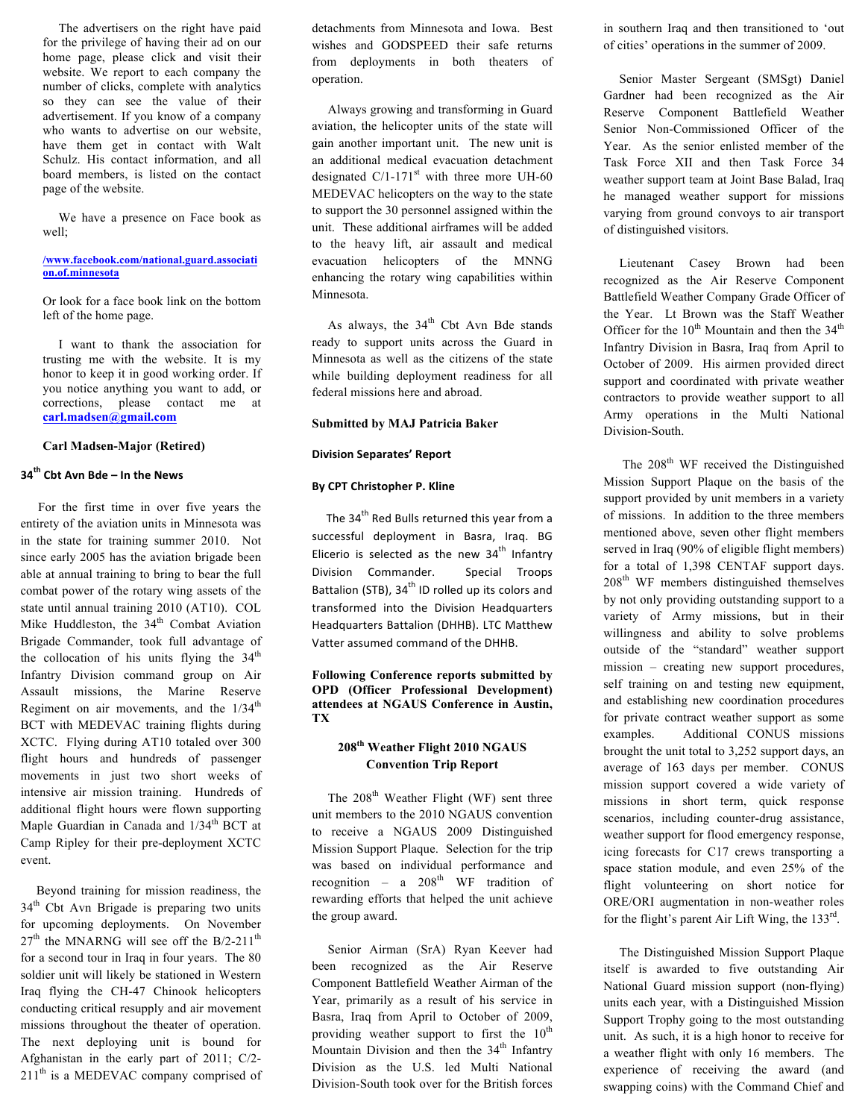The advertisers on the right have paid for the privilege of having their ad on our home page, please click and visit their website. We report to each company the number of clicks, complete with analytics so they can see the value of their advertisement. If you know of a company who wants to advertise on our website, have them get in contact with Walt Schulz. His contact information, and all board members, is listed on the contact page of the website.

 We have a presence on Face book as well;

#### **/www.facebook.com/national.guard.associati on.of.minnesota**

Or look for a face book link on the bottom left of the home page.

 I want to thank the association for trusting me with the website. It is my honor to keep it in good working order. If you notice anything you want to add, or corrections, please contact me at **carl.madsen@gmail.com**

#### **Carl Madsen-Major (Retired)**

## **34<sup>th</sup> Cbt Avn Bde – In the News**

For the first time in over five years the entirety of the aviation units in Minnesota was in the state for training summer 2010. Not since early 2005 has the aviation brigade been able at annual training to bring to bear the full combat power of the rotary wing assets of the state until annual training 2010 (AT10). COL Mike Huddleston, the  $34<sup>th</sup>$  Combat Aviation Brigade Commander, took full advantage of the collocation of his units flying the  $34<sup>th</sup>$ Infantry Division command group on Air Assault missions, the Marine Reserve Regiment on air movements, and the  $1/34<sup>th</sup>$ BCT with MEDEVAC training flights during XCTC. Flying during AT10 totaled over 300 flight hours and hundreds of passenger movements in just two short weeks of intensive air mission training. Hundreds of additional flight hours were flown supporting Maple Guardian in Canada and  $1/34<sup>th</sup>$  BCT at Camp Ripley for their pre-deployment XCTC event.

 Beyond training for mission readiness, the  $34<sup>th</sup>$  Cbt Avn Brigade is preparing two units for upcoming deployments. On November  $27<sup>th</sup>$  the MNARNG will see off the B/2-211<sup>th</sup> for a second tour in Iraq in four years. The 80 soldier unit will likely be stationed in Western Iraq flying the CH-47 Chinook helicopters conducting critical resupply and air movement missions throughout the theater of operation. The next deploying unit is bound for Afghanistan in the early part of 2011; C/2-  $211<sup>th</sup>$  is a MEDEVAC company comprised of detachments from Minnesota and Iowa. Best wishes and GODSPEED their safe returns from deployments in both theaters of operation.

 Always growing and transforming in Guard aviation, the helicopter units of the state will gain another important unit. The new unit is an additional medical evacuation detachment designated  $C/I-171<sup>st</sup>$  with three more UH-60 MEDEVAC helicopters on the way to the state to support the 30 personnel assigned within the unit. These additional airframes will be added to the heavy lift, air assault and medical evacuation helicopters of the MNNG enhancing the rotary wing capabilities within Minnesota.

As always, the  $34<sup>th</sup>$  Cbt Avn Bde stands ready to support units across the Guard in Minnesota as well as the citizens of the state while building deployment readiness for all federal missions here and abroad.

#### **Submitted by MAJ Patricia Baker**

#### **Division Separates' Report**

#### **By CPT Christopher P. Kline**

The 34<sup>th</sup> Red Bulls returned this year from a successful deployment in Basra, Iraq. BG Elicerio is selected as the new  $34<sup>th</sup>$  Infantry Division Commander. Special Troops Battalion (STB), 34<sup>th</sup> ID rolled up its colors and transformed into the Division Headquarters Headquarters Battalion (DHHB). LTC Matthew Vatter assumed command of the DHHB.

#### **Following Conference reports submitted by OPD (Officer Professional Development) attendees at NGAUS Conference in Austin, TX**

#### **208th Weather Flight 2010 NGAUS Convention Trip Report**

The  $208<sup>th</sup>$  Weather Flight (WF) sent three unit members to the 2010 NGAUS convention to receive a NGAUS 2009 Distinguished Mission Support Plaque. Selection for the trip was based on individual performance and recognition – a  $208<sup>th</sup>$  WF tradition of rewarding efforts that helped the unit achieve the group award.

 Senior Airman (SrA) Ryan Keever had been recognized as the Air Reserve Component Battlefield Weather Airman of the Year, primarily as a result of his service in Basra, Iraq from April to October of 2009, providing weather support to first the  $10^{th}$ Mountain Division and then the  $34<sup>th</sup>$  Infantry Division as the U.S. led Multi National Division-South took over for the British forces

in southern Iraq and then transitioned to 'out of cities' operations in the summer of 2009.

 Senior Master Sergeant (SMSgt) Daniel Gardner had been recognized as the Air Reserve Component Battlefield Weather Senior Non-Commissioned Officer of the Year. As the senior enlisted member of the Task Force XII and then Task Force 34 weather support team at Joint Base Balad, Iraq he managed weather support for missions varying from ground convoys to air transport of distinguished visitors.

 Lieutenant Casey Brown had been recognized as the Air Reserve Component Battlefield Weather Company Grade Officer of the Year. Lt Brown was the Staff Weather Officer for the  $10^{th}$  Mountain and then the  $34^{th}$ Infantry Division in Basra, Iraq from April to October of 2009. His airmen provided direct support and coordinated with private weather contractors to provide weather support to all Army operations in the Multi National Division-South.

The 208<sup>th</sup> WF received the Distinguished Mission Support Plaque on the basis of the support provided by unit members in a variety of missions. In addition to the three members mentioned above, seven other flight members served in Iraq (90% of eligible flight members) for a total of 1,398 CENTAF support days. 208th WF members distinguished themselves by not only providing outstanding support to a variety of Army missions, but in their willingness and ability to solve problems outside of the "standard" weather support mission – creating new support procedures, self training on and testing new equipment, and establishing new coordination procedures for private contract weather support as some examples. Additional CONUS missions brought the unit total to 3,252 support days, an average of 163 days per member. CONUS mission support covered a wide variety of missions in short term, quick response scenarios, including counter-drug assistance, weather support for flood emergency response, icing forecasts for C17 crews transporting a space station module, and even 25% of the flight volunteering on short notice for ORE/ORI augmentation in non-weather roles for the flight's parent Air Lift Wing, the  $133<sup>rd</sup>$ .

 The Distinguished Mission Support Plaque itself is awarded to five outstanding Air National Guard mission support (non-flying) units each year, with a Distinguished Mission Support Trophy going to the most outstanding unit. As such, it is a high honor to receive for a weather flight with only 16 members. The experience of receiving the award (and swapping coins) with the Command Chief and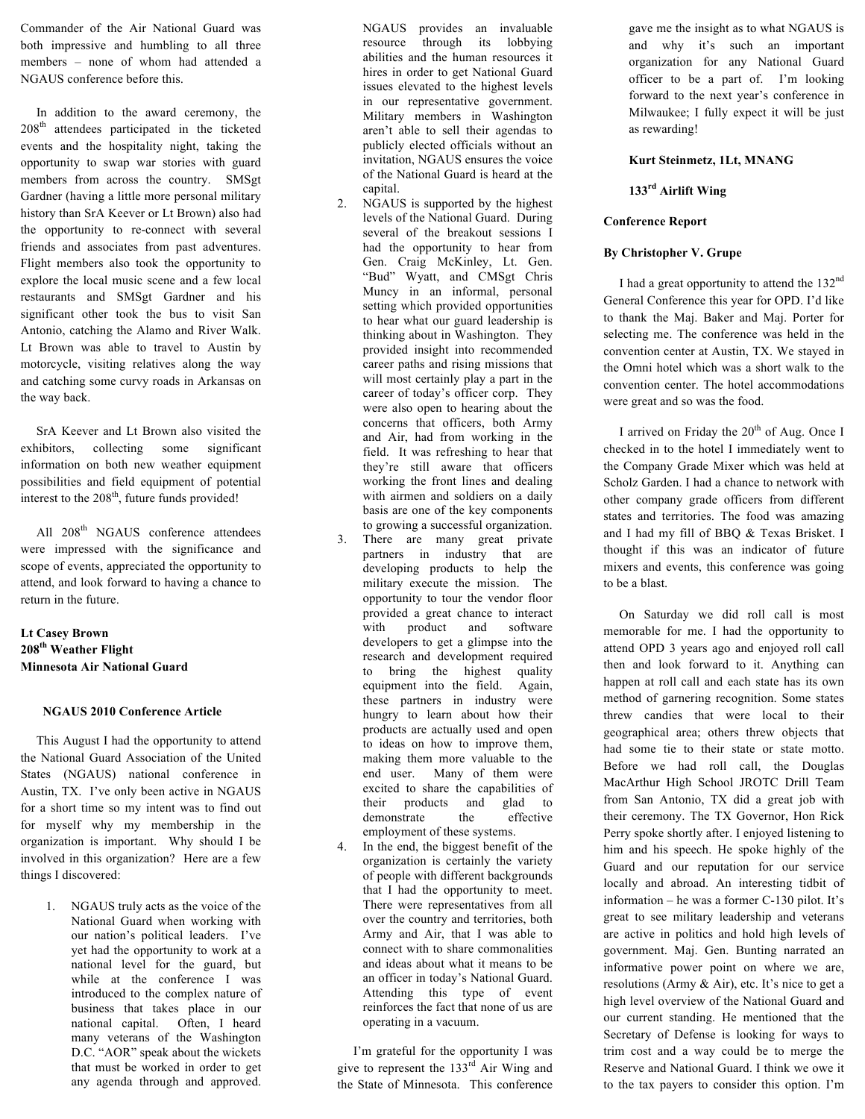Commander of the Air National Guard was both impressive and humbling to all three members – none of whom had attended a NGAUS conference before this.

 In addition to the award ceremony, the 208<sup>th</sup> attendees participated in the ticketed events and the hospitality night, taking the opportunity to swap war stories with guard members from across the country. SMSgt Gardner (having a little more personal military history than SrA Keever or Lt Brown) also had the opportunity to re-connect with several friends and associates from past adventures. Flight members also took the opportunity to explore the local music scene and a few local restaurants and SMSgt Gardner and his significant other took the bus to visit San Antonio, catching the Alamo and River Walk. Lt Brown was able to travel to Austin by motorcycle, visiting relatives along the way and catching some curvy roads in Arkansas on the way back.

 SrA Keever and Lt Brown also visited the exhibitors, collecting some significant information on both new weather equipment possibilities and field equipment of potential interest to the 208<sup>th</sup>, future funds provided!

All 208<sup>th</sup> NGAUS conference attendees were impressed with the significance and scope of events, appreciated the opportunity to attend, and look forward to having a chance to return in the future.

## **Lt Casey Brown 208th Weather Flight Minnesota Air National Guard**

#### **NGAUS 2010 Conference Article**

 This August I had the opportunity to attend the National Guard Association of the United States (NGAUS) national conference in Austin, TX. I've only been active in NGAUS for a short time so my intent was to find out for myself why my membership in the organization is important. Why should I be involved in this organization? Here are a few things I discovered:

> 1. NGAUS truly acts as the voice of the National Guard when working with our nation's political leaders. I've yet had the opportunity to work at a national level for the guard, but while at the conference I was introduced to the complex nature of business that takes place in our national capital. Often, I heard many veterans of the Washington D.C. "AOR" speak about the wickets that must be worked in order to get any agenda through and approved.

NGAUS provides an invaluable resource through its lobbying abilities and the human resources it hires in order to get National Guard issues elevated to the highest levels in our representative government. Military members in Washington aren't able to sell their agendas to publicly elected officials without an invitation, NGAUS ensures the voice of the National Guard is heard at the capital.

- 2. NGAUS is supported by the highest levels of the National Guard. During several of the breakout sessions I had the opportunity to hear from Gen. Craig McKinley, Lt. Gen. "Bud" Wyatt, and CMSgt Chris Muncy in an informal, personal setting which provided opportunities to hear what our guard leadership is thinking about in Washington. They provided insight into recommended career paths and rising missions that will most certainly play a part in the career of today's officer corp. They were also open to hearing about the concerns that officers, both Army and Air, had from working in the field. It was refreshing to hear that they're still aware that officers working the front lines and dealing with airmen and soldiers on a daily basis are one of the key components to growing a successful organization.
- 3. There are many great private partners in industry that are developing products to help the military execute the mission. The opportunity to tour the vendor floor provided a great chance to interact with product and software developers to get a glimpse into the research and development required to bring the highest quality equipment into the field. Again, these partners in industry were hungry to learn about how their products are actually used and open to ideas on how to improve them, making them more valuable to the end user. Many of them were excited to share the capabilities of their products and glad to demonstrate the effective employment of these systems.
- In the end, the biggest benefit of the organization is certainly the variety of people with different backgrounds that I had the opportunity to meet. There were representatives from all over the country and territories, both Army and Air, that I was able to connect with to share commonalities and ideas about what it means to be an officer in today's National Guard. Attending this type of event reinforces the fact that none of us are operating in a vacuum.

 I'm grateful for the opportunity I was give to represent the  $133<sup>rd</sup>$  Air Wing and the State of Minnesota. This conference

gave me the insight as to what NGAUS is and why it's such an important organization for any National Guard officer to be a part of. I'm looking forward to the next year's conference in Milwaukee; I fully expect it will be just as rewarding!

#### **Kurt Steinmetz, 1Lt, MNANG**

#### **133rd Airlift Wing**

#### **Conference Report**

#### **By Christopher V. Grupe**

I had a great opportunity to attend the 132nd General Conference this year for OPD. I'd like to thank the Maj. Baker and Maj. Porter for selecting me. The conference was held in the convention center at Austin, TX. We stayed in the Omni hotel which was a short walk to the convention center. The hotel accommodations were great and so was the food.

I arrived on Friday the  $20<sup>th</sup>$  of Aug. Once I checked in to the hotel I immediately went to the Company Grade Mixer which was held at Scholz Garden. I had a chance to network with other company grade officers from different states and territories. The food was amazing and I had my fill of BBQ & Texas Brisket. I thought if this was an indicator of future mixers and events, this conference was going to be a blast.

 On Saturday we did roll call is most memorable for me. I had the opportunity to attend OPD 3 years ago and enjoyed roll call then and look forward to it. Anything can happen at roll call and each state has its own method of garnering recognition. Some states threw candies that were local to their geographical area; others threw objects that had some tie to their state or state motto. Before we had roll call, the Douglas MacArthur High School JROTC Drill Team from San Antonio, TX did a great job with their ceremony. The TX Governor, Hon Rick Perry spoke shortly after. I enjoyed listening to him and his speech. He spoke highly of the Guard and our reputation for our service locally and abroad. An interesting tidbit of information – he was a former C-130 pilot. It's great to see military leadership and veterans are active in politics and hold high levels of government. Maj. Gen. Bunting narrated an informative power point on where we are, resolutions (Army  $&$  Air), etc. It's nice to get a high level overview of the National Guard and our current standing. He mentioned that the Secretary of Defense is looking for ways to trim cost and a way could be to merge the Reserve and National Guard. I think we owe it to the tax payers to consider this option. I'm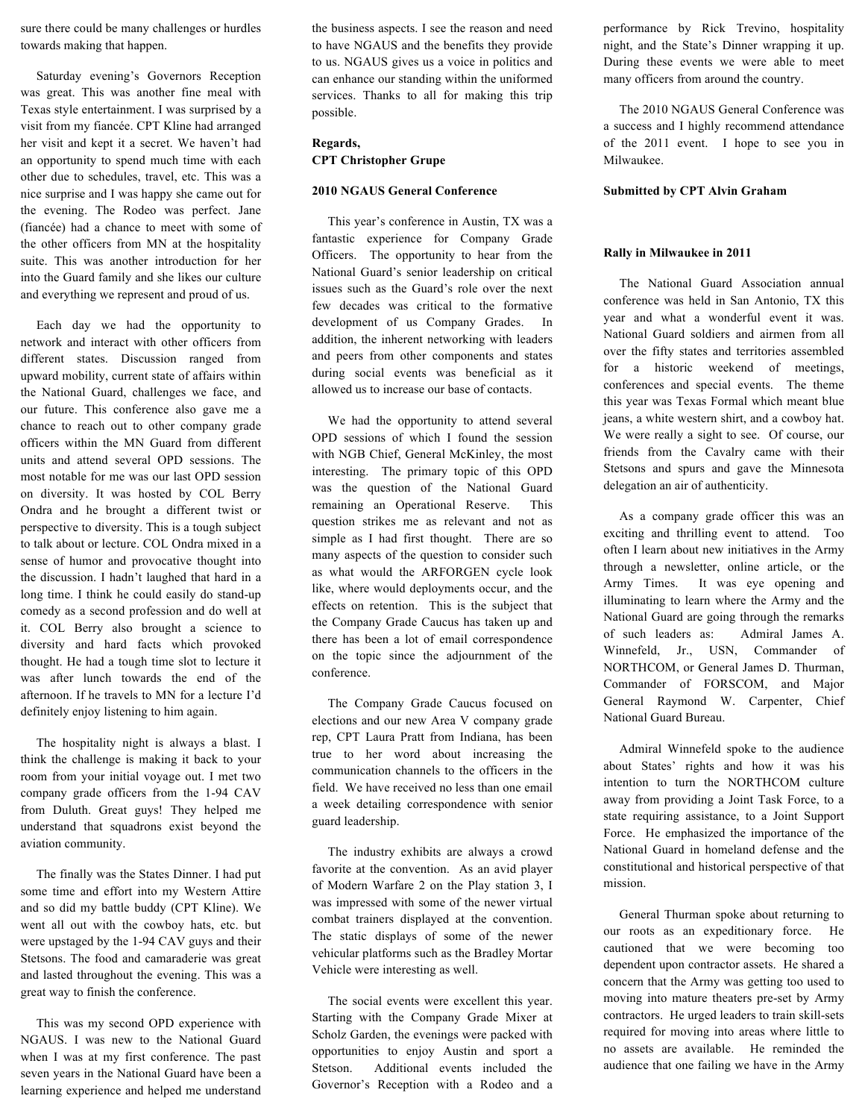sure there could be many challenges or hurdles towards making that happen.

 Saturday evening's Governors Reception was great. This was another fine meal with Texas style entertainment. I was surprised by a visit from my fiancée. CPT Kline had arranged her visit and kept it a secret. We haven't had an opportunity to spend much time with each other due to schedules, travel, etc. This was a nice surprise and I was happy she came out for the evening. The Rodeo was perfect. Jane (fiancée) had a chance to meet with some of the other officers from MN at the hospitality suite. This was another introduction for her into the Guard family and she likes our culture and everything we represent and proud of us.

 Each day we had the opportunity to network and interact with other officers from different states. Discussion ranged from upward mobility, current state of affairs within the National Guard, challenges we face, and our future. This conference also gave me a chance to reach out to other company grade officers within the MN Guard from different units and attend several OPD sessions. The most notable for me was our last OPD session on diversity. It was hosted by COL Berry Ondra and he brought a different twist or perspective to diversity. This is a tough subject to talk about or lecture. COL Ondra mixed in a sense of humor and provocative thought into the discussion. I hadn't laughed that hard in a long time. I think he could easily do stand-up comedy as a second profession and do well at it. COL Berry also brought a science to diversity and hard facts which provoked thought. He had a tough time slot to lecture it was after lunch towards the end of the afternoon. If he travels to MN for a lecture I'd definitely enjoy listening to him again.

 The hospitality night is always a blast. I think the challenge is making it back to your room from your initial voyage out. I met two company grade officers from the 1-94 CAV from Duluth. Great guys! They helped me understand that squadrons exist beyond the aviation community.

 The finally was the States Dinner. I had put some time and effort into my Western Attire and so did my battle buddy (CPT Kline). We went all out with the cowboy hats, etc. but were upstaged by the 1-94 CAV guys and their Stetsons. The food and camaraderie was great and lasted throughout the evening. This was a great way to finish the conference.

 This was my second OPD experience with NGAUS. I was new to the National Guard when I was at my first conference. The past seven years in the National Guard have been a learning experience and helped me understand

the business aspects. I see the reason and need to have NGAUS and the benefits they provide to us. NGAUS gives us a voice in politics and can enhance our standing within the uniformed services. Thanks to all for making this trip possible.

## **Regards, CPT Christopher Grupe**

#### **2010 NGAUS General Conference**

This year's conference in Austin, TX was a fantastic experience for Company Grade Officers. The opportunity to hear from the National Guard's senior leadership on critical issues such as the Guard's role over the next few decades was critical to the formative development of us Company Grades. In addition, the inherent networking with leaders and peers from other components and states during social events was beneficial as it allowed us to increase our base of contacts.

 We had the opportunity to attend several OPD sessions of which I found the session with NGB Chief, General McKinley, the most interesting. The primary topic of this OPD was the question of the National Guard remaining an Operational Reserve. This question strikes me as relevant and not as simple as I had first thought. There are so many aspects of the question to consider such as what would the ARFORGEN cycle look like, where would deployments occur, and the effects on retention. This is the subject that the Company Grade Caucus has taken up and there has been a lot of email correspondence on the topic since the adjournment of the conference.

 The Company Grade Caucus focused on elections and our new Area V company grade rep, CPT Laura Pratt from Indiana, has been true to her word about increasing the communication channels to the officers in the field. We have received no less than one email a week detailing correspondence with senior guard leadership.

 The industry exhibits are always a crowd favorite at the convention. As an avid player of Modern Warfare 2 on the Play station 3, I was impressed with some of the newer virtual combat trainers displayed at the convention. The static displays of some of the newer vehicular platforms such as the Bradley Mortar Vehicle were interesting as well.

 The social events were excellent this year. Starting with the Company Grade Mixer at Scholz Garden, the evenings were packed with opportunities to enjoy Austin and sport a Stetson. Additional events included the Governor's Reception with a Rodeo and a

performance by Rick Trevino, hospitality night, and the State's Dinner wrapping it up. During these events we were able to meet many officers from around the country.

 The 2010 NGAUS General Conference was a success and I highly recommend attendance of the 2011 event. I hope to see you in Milwaukee.

#### **Submitted by CPT Alvin Graham**

#### **Rally in Milwaukee in 2011**

 The National Guard Association annual conference was held in San Antonio, TX this year and what a wonderful event it was. National Guard soldiers and airmen from all over the fifty states and territories assembled for a historic weekend of meetings, conferences and special events. The theme this year was Texas Formal which meant blue jeans, a white western shirt, and a cowboy hat. We were really a sight to see. Of course, our friends from the Cavalry came with their Stetsons and spurs and gave the Minnesota delegation an air of authenticity.

 As a company grade officer this was an exciting and thrilling event to attend. Too often I learn about new initiatives in the Army through a newsletter, online article, or the Army Times. It was eye opening and illuminating to learn where the Army and the National Guard are going through the remarks of such leaders as: Admiral James A. Winnefeld, Jr., USN, Commander of NORTHCOM, or General James D. Thurman, Commander of FORSCOM, and Major General Raymond W. Carpenter, Chief National Guard Bureau.

 Admiral Winnefeld spoke to the audience about States' rights and how it was his intention to turn the NORTHCOM culture away from providing a Joint Task Force, to a state requiring assistance, to a Joint Support Force. He emphasized the importance of the National Guard in homeland defense and the constitutional and historical perspective of that mission.

 General Thurman spoke about returning to our roots as an expeditionary force. He cautioned that we were becoming too dependent upon contractor assets. He shared a concern that the Army was getting too used to moving into mature theaters pre-set by Army contractors. He urged leaders to train skill-sets required for moving into areas where little to no assets are available. He reminded the audience that one failing we have in the Army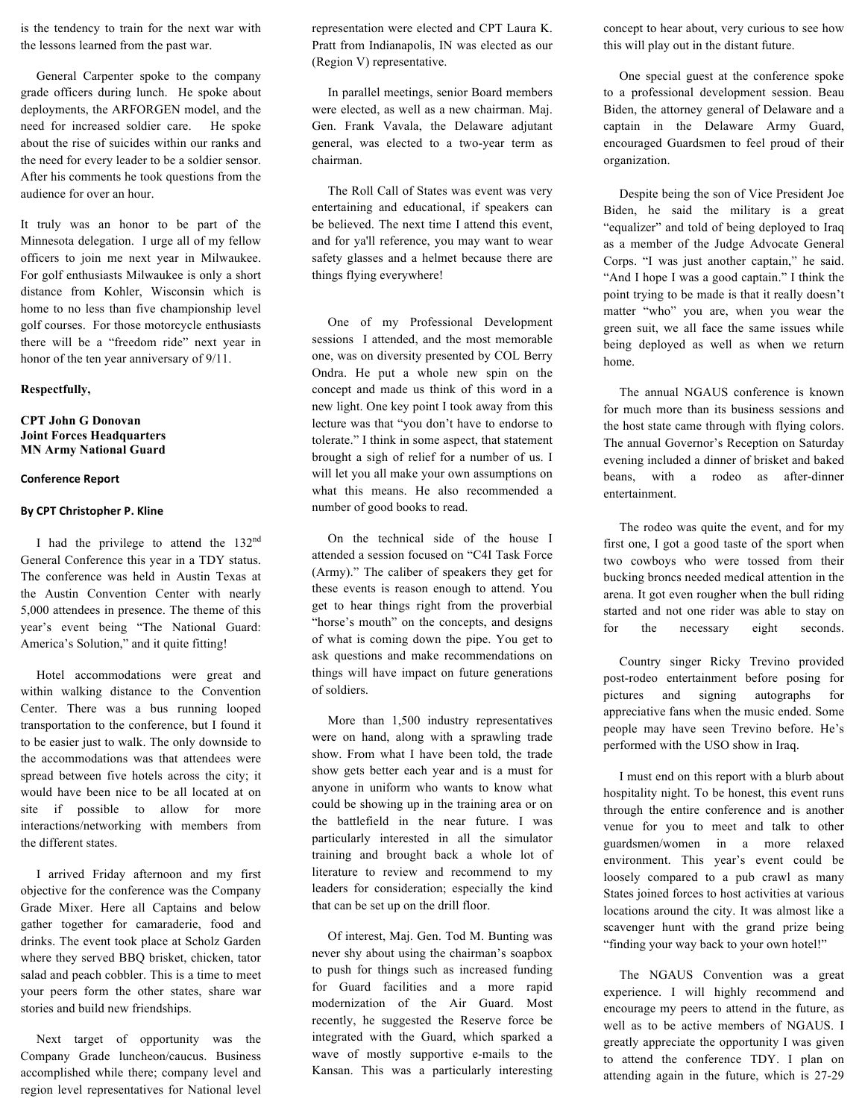is the tendency to train for the next war with the lessons learned from the past war.

 General Carpenter spoke to the company grade officers during lunch. He spoke about deployments, the ARFORGEN model, and the need for increased soldier care. He spoke about the rise of suicides within our ranks and the need for every leader to be a soldier sensor. After his comments he took questions from the audience for over an hour.

It truly was an honor to be part of the Minnesota delegation. I urge all of my fellow officers to join me next year in Milwaukee. For golf enthusiasts Milwaukee is only a short distance from Kohler, Wisconsin which is home to no less than five championship level golf courses. For those motorcycle enthusiasts there will be a "freedom ride" next year in honor of the ten year anniversary of 9/11.

#### **Respectfully,**

#### **CPT John G Donovan Joint Forces Headquarters MN Army National Guard**

#### **Conference%Report**

#### **By CPT Christopher P. Kline**

 I had the privilege to attend the 132nd General Conference this year in a TDY status. The conference was held in Austin Texas at the Austin Convention Center with nearly 5,000 attendees in presence. The theme of this year's event being "The National Guard: America's Solution," and it quite fitting!

 Hotel accommodations were great and within walking distance to the Convention Center. There was a bus running looped transportation to the conference, but I found it to be easier just to walk. The only downside to the accommodations was that attendees were spread between five hotels across the city; it would have been nice to be all located at on site if possible to allow for more interactions/networking with members from the different states.

 I arrived Friday afternoon and my first objective for the conference was the Company Grade Mixer. Here all Captains and below gather together for camaraderie, food and drinks. The event took place at Scholz Garden where they served BBQ brisket, chicken, tator salad and peach cobbler. This is a time to meet your peers form the other states, share war stories and build new friendships.

 Next target of opportunity was the Company Grade luncheon/caucus. Business accomplished while there; company level and region level representatives for National level representation were elected and CPT Laura K. Pratt from Indianapolis, IN was elected as our (Region V) representative.

 In parallel meetings, senior Board members were elected, as well as a new chairman. Maj. Gen. Frank Vavala, the Delaware adjutant general, was elected to a two-year term as chairman.

 The Roll Call of States was event was very entertaining and educational, if speakers can be believed. The next time I attend this event, and for ya'll reference, you may want to wear safety glasses and a helmet because there are things flying everywhere!

 One of my Professional Development sessions I attended, and the most memorable one, was on diversity presented by COL Berry Ondra. He put a whole new spin on the concept and made us think of this word in a new light. One key point I took away from this lecture was that "you don't have to endorse to tolerate." I think in some aspect, that statement brought a sigh of relief for a number of us. I will let you all make your own assumptions on what this means. He also recommended a number of good books to read.

 On the technical side of the house I attended a session focused on "C4I Task Force (Army)." The caliber of speakers they get for these events is reason enough to attend. You get to hear things right from the proverbial "horse's mouth" on the concepts, and designs of what is coming down the pipe. You get to ask questions and make recommendations on things will have impact on future generations of soldiers.

 More than 1,500 industry representatives were on hand, along with a sprawling trade show. From what I have been told, the trade show gets better each year and is a must for anyone in uniform who wants to know what could be showing up in the training area or on the battlefield in the near future. I was particularly interested in all the simulator training and brought back a whole lot of literature to review and recommend to my leaders for consideration; especially the kind that can be set up on the drill floor.

 Of interest, Maj. Gen. Tod M. Bunting was never shy about using the chairman's soapbox to push for things such as increased funding for Guard facilities and a more rapid modernization of the Air Guard. Most recently, he suggested the Reserve force be integrated with the Guard, which sparked a wave of mostly supportive e-mails to the Kansan. This was a particularly interesting

concept to hear about, very curious to see how this will play out in the distant future.

 One special guest at the conference spoke to a professional development session. Beau Biden, the attorney general of Delaware and a captain in the Delaware Army Guard, encouraged Guardsmen to feel proud of their organization.

 Despite being the son of Vice President Joe Biden, he said the military is a great "equalizer" and told of being deployed to Iraq as a member of the Judge Advocate General Corps. "I was just another captain," he said. "And I hope I was a good captain." I think the point trying to be made is that it really doesn't matter "who" you are, when you wear the green suit, we all face the same issues while being deployed as well as when we return home.

 The annual NGAUS conference is known for much more than its business sessions and the host state came through with flying colors. The annual Governor's Reception on Saturday evening included a dinner of brisket and baked beans, with a rodeo as after-dinner entertainment.

 The rodeo was quite the event, and for my first one, I got a good taste of the sport when two cowboys who were tossed from their bucking broncs needed medical attention in the arena. It got even rougher when the bull riding started and not one rider was able to stay on for the necessary eight seconds.

 Country singer Ricky Trevino provided post-rodeo entertainment before posing for pictures and signing autographs for appreciative fans when the music ended. Some people may have seen Trevino before. He's performed with the USO show in Iraq.

 I must end on this report with a blurb about hospitality night. To be honest, this event runs through the entire conference and is another venue for you to meet and talk to other guardsmen/women in a more relaxed environment. This year's event could be loosely compared to a pub crawl as many States joined forces to host activities at various locations around the city. It was almost like a scavenger hunt with the grand prize being "finding your way back to your own hotel!"

 The NGAUS Convention was a great experience. I will highly recommend and encourage my peers to attend in the future, as well as to be active members of NGAUS. I greatly appreciate the opportunity I was given to attend the conference TDY. I plan on attending again in the future, which is 27-29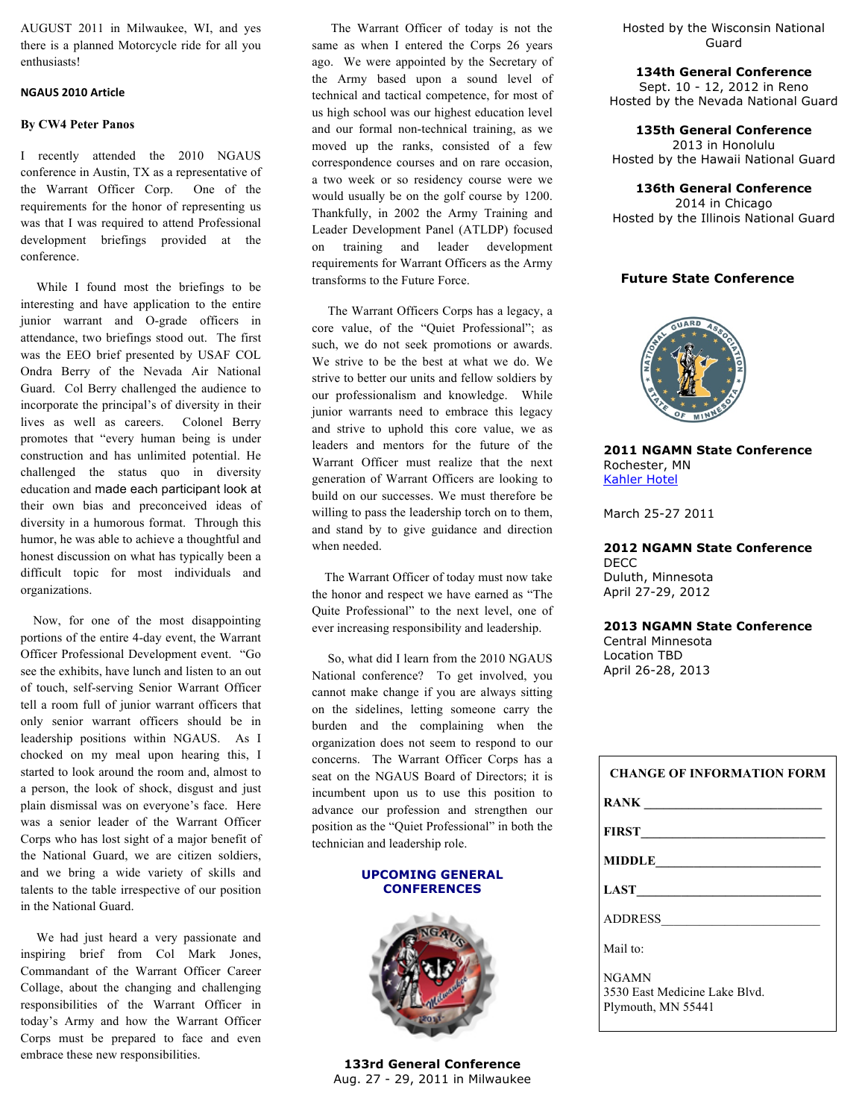AUGUST 2011 in Milwaukee, WI, and yes there is a planned Motorcycle ride for all you enthusiasts!

#### **NGAUS%2010%Article**

#### **By CW4 Peter Panos**

I recently attended the 2010 NGAUS conference in Austin, TX as a representative of the Warrant Officer Corp. One of the requirements for the honor of representing us was that I was required to attend Professional development briefings provided at the conference.

 While I found most the briefings to be interesting and have application to the entire junior warrant and O-grade officers in attendance, two briefings stood out. The first was the EEO brief presented by USAF COL Ondra Berry of the Nevada Air National Guard. Col Berry challenged the audience to incorporate the principal's of diversity in their lives as well as careers. Colonel Berry promotes that "every human being is under construction and has unlimited potential. He challenged the status quo in diversity education and made each participant look at their own bias and preconceived ideas of diversity in a humorous format. Through this humor, he was able to achieve a thoughtful and honest discussion on what has typically been a difficult topic for most individuals and organizations.

 Now, for one of the most disappointing portions of the entire 4-day event, the Warrant Officer Professional Development event. "Go see the exhibits, have lunch and listen to an out of touch, self-serving Senior Warrant Officer tell a room full of junior warrant officers that only senior warrant officers should be in leadership positions within NGAUS. As I chocked on my meal upon hearing this, I started to look around the room and, almost to a person, the look of shock, disgust and just plain dismissal was on everyone's face. Here was a senior leader of the Warrant Officer Corps who has lost sight of a major benefit of the National Guard, we are citizen soldiers, and we bring a wide variety of skills and talents to the table irrespective of our position in the National Guard.

 We had just heard a very passionate and inspiring brief from Col Mark Jones, Commandant of the Warrant Officer Career Collage, about the changing and challenging responsibilities of the Warrant Officer in today's Army and how the Warrant Officer Corps must be prepared to face and even embrace these new responsibilities.

 The Warrant Officer of today is not the same as when I entered the Corps 26 years ago. We were appointed by the Secretary of the Army based upon a sound level of technical and tactical competence, for most of us high school was our highest education level and our formal non-technical training, as we moved up the ranks, consisted of a few correspondence courses and on rare occasion, a two week or so residency course were we would usually be on the golf course by 1200. Thankfully, in 2002 the Army Training and Leader Development Panel (ATLDP) focused on training and leader development requirements for Warrant Officers as the Army transforms to the Future Force.

 The Warrant Officers Corps has a legacy, a core value, of the "Quiet Professional"; as such, we do not seek promotions or awards. We strive to be the best at what we do. We strive to better our units and fellow soldiers by our professionalism and knowledge. While junior warrants need to embrace this legacy and strive to uphold this core value, we as leaders and mentors for the future of the Warrant Officer must realize that the next generation of Warrant Officers are looking to build on our successes. We must therefore be willing to pass the leadership torch on to them, and stand by to give guidance and direction when needed.

 The Warrant Officer of today must now take the honor and respect we have earned as "The Quite Professional" to the next level, one of ever increasing responsibility and leadership.

 So, what did I learn from the 2010 NGAUS National conference? To get involved, you cannot make change if you are always sitting on the sidelines, letting someone carry the burden and the complaining when the organization does not seem to respond to our concerns. The Warrant Officer Corps has a seat on the NGAUS Board of Directors; it is incumbent upon us to use this position to advance our profession and strengthen our position as the "Quiet Professional" in both the technician and leadership role.

#### **UPCOMING GENERAL CONFERENCES**



**133rd General Conference**  Aug. 27 - 29, 2011 in Milwaukee

Hosted by the Wisconsin National Guard

**134th General Conference**  Sept. 10 - 12, 2012 in Reno

Hosted by the Nevada National Guard

**135th General Conference**

2013 in Honolulu Hosted by the Hawaii National Guard

**136th General Conference** 2014 in Chicago Hosted by the Illinois National Guard

## **Future State Conference**



**2011 NGAMN State Conference** Rochester, MN Kahler Hotel

March 25-27 2011

**2012 NGAMN State Conference** DECC Duluth, Minnesota April 27-29, 2012

#### **2013 NGAMN State Conference**

Central Minnesota Location TBD April 26-28, 2013

| <b>CHANGE OF INFORMATION FORM</b>                                   |
|---------------------------------------------------------------------|
| RANK                                                                |
| <b>FIRST</b>                                                        |
| MIDDLE                                                              |
| LAST                                                                |
| ADDRESS                                                             |
| Mail to:                                                            |
| <b>NGAMN</b><br>3530 East Medicine Lake Blvd.<br>Plymouth, MN 55441 |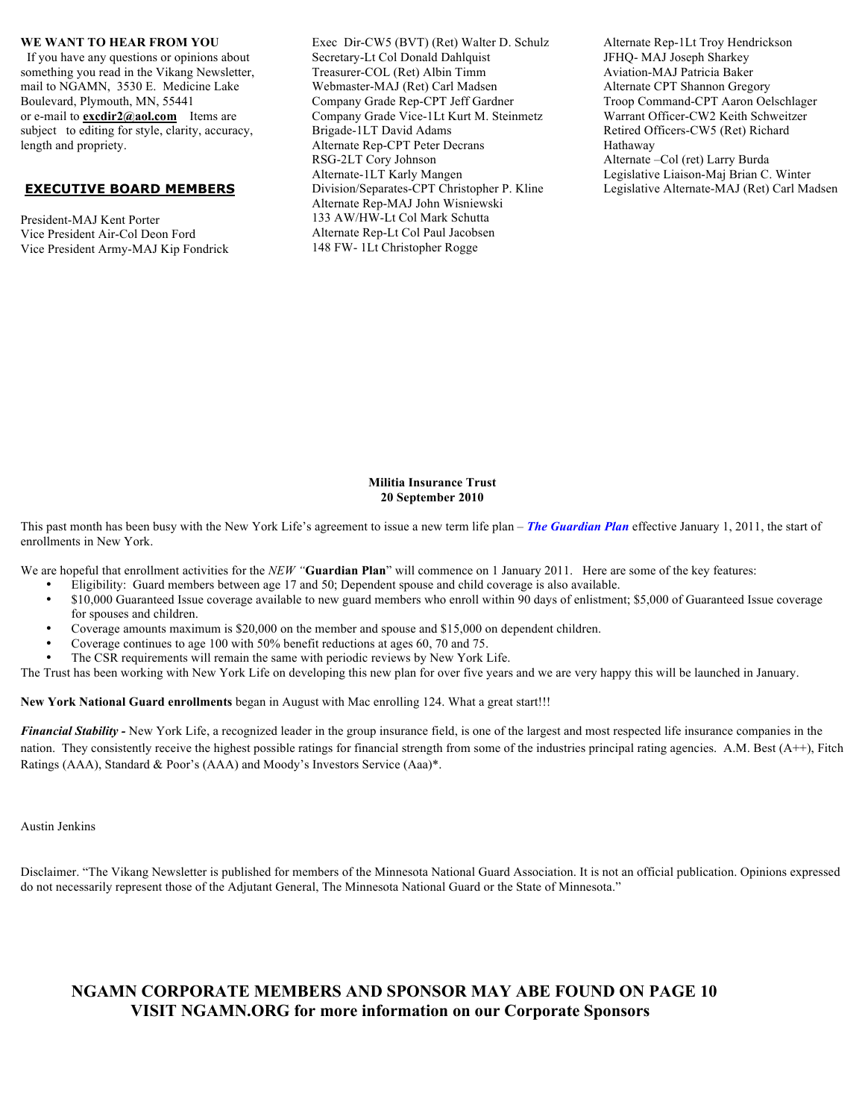#### **WE WANT TO HEAR FROM YOU**

 If you have any questions or opinions about something you read in the Vikang Newsletter, mail to NGAMN, 3530 E. Medicine Lake Boulevard, Plymouth, MN, 55441 or e-mail to **excdir2@aol.com** Items are subject to editing for style, clarity, accuracy, length and propriety.

#### **EXECUTIVE BOARD MEMBERS**

President-MAJ Kent Porter Vice President Air-Col Deon Ford Vice President Army-MAJ Kip Fondrick Exec Dir-CW5 (BVT) (Ret) Walter D. Schulz Secretary-Lt Col Donald Dahlquist Treasurer-COL (Ret) Albin Timm Webmaster-MAJ (Ret) Carl Madsen Company Grade Rep-CPT Jeff Gardner Company Grade Vice-1Lt Kurt M. Steinmetz Brigade-1LT David Adams Alternate Rep-CPT Peter Decrans RSG-2LT Cory Johnson Alternate-1LT Karly Mangen Division/Separates-CPT Christopher P. Kline Alternate Rep-MAJ John Wisniewski 133 AW/HW-Lt Col Mark Schutta Alternate Rep-Lt Col Paul Jacobsen 148 FW- 1Lt Christopher Rogge

Alternate Rep-1Lt Troy Hendrickson JFHQ- MAJ Joseph Sharkey Aviation-MAJ Patricia Baker Alternate CPT Shannon Gregory Troop Command-CPT Aaron Oelschlager Warrant Officer-CW2 Keith Schweitzer Retired Officers-CW5 (Ret) Richard Hathaway Alternate –Col (ret) Larry Burda Legislative Liaison-Maj Brian C. Winter Legislative Alternate-MAJ (Ret) Carl Madsen

#### **Militia Insurance Trust 20 September 2010**

This past month has been busy with the New York Life's agreement to issue a new term life plan – *The Guardian Plan* effective January 1, 2011, the start of enrollments in New York.

We are hopeful that enrollment activities for the *NEW* "**Guardian Plan**" will commence on 1 January 2011. Here are some of the key features:

- Eligibility: Guard members between age 17 and 50; Dependent spouse and child coverage is also available.<br>• \$10,000 Guaranteed Issue coverage available to new quard members who enroll within 90 days of enlistment
- \$10,000 Guaranteed Issue coverage available to new guard members who enroll within 90 days of enlistment; \$5,000 of Guaranteed Issue coverage for spouses and children.
- Coverage amounts maximum is \$20,000 on the member and spouse and \$15,000 on dependent children.
- Coverage continues to age 100 with 50% benefit reductions at ages 60, 70 and 75.
- The CSR requirements will remain the same with periodic reviews by New York Life.

The Trust has been working with New York Life on developing this new plan for over five years and we are very happy this will be launched in January.

**New York National Guard enrollments** began in August with Mac enrolling 124. What a great start!!!

Financial Stability - New York Life, a recognized leader in the group insurance field, is one of the largest and most respected life insurance companies in the nation. They consistently receive the highest possible ratings for financial strength from some of the industries principal rating agencies. A.M. Best  $(A++)$ , Fitch Ratings (AAA), Standard & Poor's (AAA) and Moody's Investors Service (Aaa)\*.

Austin Jenkins

Disclaimer. "The Vikang Newsletter is published for members of the Minnesota National Guard Association. It is not an official publication. Opinions expressed do not necessarily represent those of the Adjutant General, The Minnesota National Guard or the State of Minnesota."

## **NGAMN CORPORATE MEMBERS AND SPONSOR MAY ABE FOUND ON PAGE 10 VISIT NGAMN.ORG for more information on our Corporate Sponsors**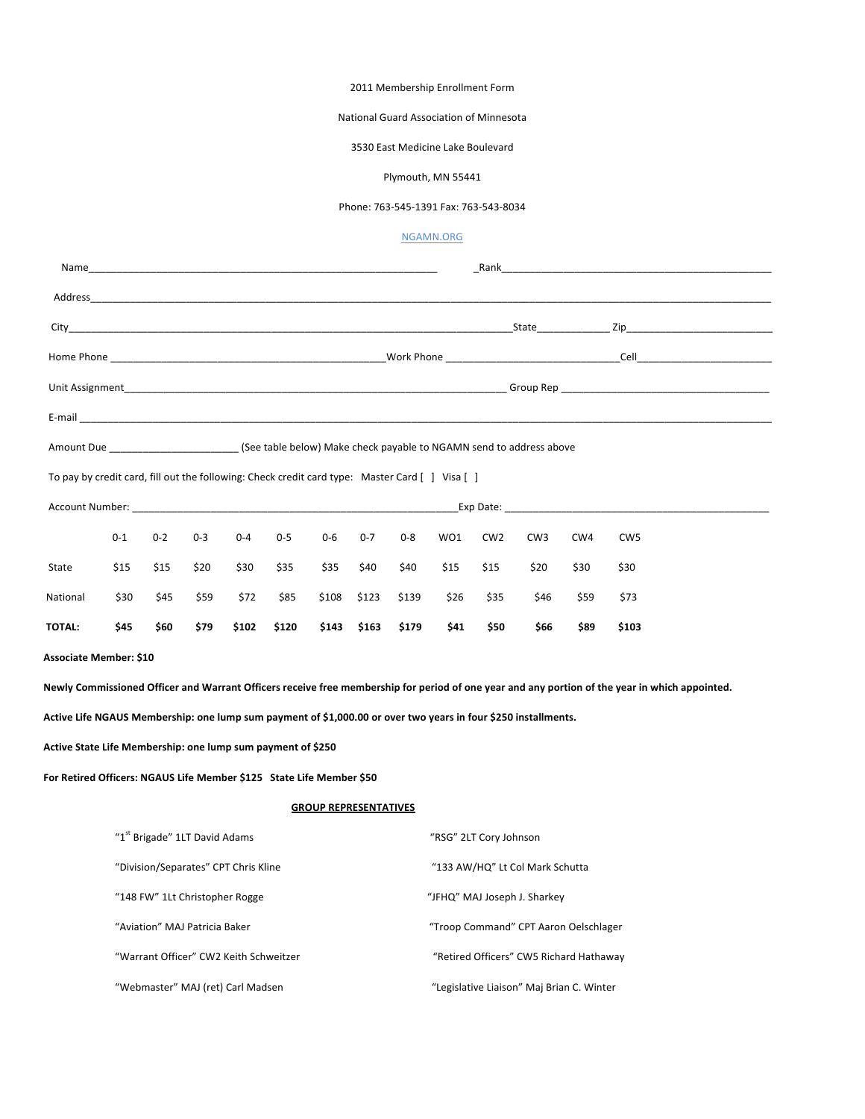#### 2011 Membership Enrollment Form

#### National Guard Association of Minnesota

#### 3530 East Medicine Lake Boulevard

#### Plymouth, MN 55441

#### Phone: 763-545-1391 Fax: 763-543-8034

#### NGAMN.ORG

| Amount Due _________________________(See table below) Make check payable to NGAMN send to address above                                                                                                                                               |                                      |         |                               |                                        |         |                              |         |                              |                                           |                 |                 |      |                                                                                                                                                |  |
|-------------------------------------------------------------------------------------------------------------------------------------------------------------------------------------------------------------------------------------------------------|--------------------------------------|---------|-------------------------------|----------------------------------------|---------|------------------------------|---------|------------------------------|-------------------------------------------|-----------------|-----------------|------|------------------------------------------------------------------------------------------------------------------------------------------------|--|
| To pay by credit card, fill out the following: Check credit card type: Master Card [ ] Visa [ ]                                                                                                                                                       |                                      |         |                               |                                        |         |                              |         |                              |                                           |                 |                 |      |                                                                                                                                                |  |
|                                                                                                                                                                                                                                                       |                                      |         |                               |                                        |         |                              |         |                              |                                           |                 |                 |      |                                                                                                                                                |  |
|                                                                                                                                                                                                                                                       | $0 - 1$                              | $0 - 2$ | $0 - 3$                       | $0 - 4$                                | $0 - 5$ | 0-6                          | $0 - 7$ | 0-8                          | WO1                                       | CW <sub>2</sub> | CW <sub>3</sub> | CW4  | CW <sub>5</sub>                                                                                                                                |  |
| State                                                                                                                                                                                                                                                 | \$15                                 | \$15    | \$20                          | \$30                                   | \$35    | \$35                         | \$40    | \$40                         | \$15                                      | \$15            | \$20            | \$30 | \$30                                                                                                                                           |  |
| National                                                                                                                                                                                                                                              | \$30                                 | \$45    | \$59                          | \$72                                   | \$85    | \$108                        | \$123   | \$139                        | \$26                                      | \$35            | \$46            | \$59 | \$73                                                                                                                                           |  |
| <b>TOTAL:</b>                                                                                                                                                                                                                                         | \$45                                 | \$60    | \$79                          | \$102                                  | \$120   | \$143                        | \$163   | \$179                        | \$41                                      | \$50            | \$66            | \$89 | \$103                                                                                                                                          |  |
| Active Life NGAUS Membership: one lump sum payment of \$1,000.00 or over two years in four \$250 installments.<br>Active State Life Membership: one lump sum payment of \$250<br>For Retired Officers: NGAUS Life Member \$125 State Life Member \$50 |                                      |         |                               |                                        |         |                              |         |                              |                                           |                 |                 |      | Newly Commissioned Officer and Warrant Officers receive free membership for period of one year and any portion of the year in which appointed. |  |
|                                                                                                                                                                                                                                                       |                                      |         |                               |                                        |         | <b>GROUP REPRESENTATIVES</b> |         |                              |                                           |                 |                 |      |                                                                                                                                                |  |
|                                                                                                                                                                                                                                                       | "1st Brigade" 1LT David Adams        |         |                               |                                        |         |                              |         |                              | "RSG" 2LT Cory Johnson                    |                 |                 |      |                                                                                                                                                |  |
|                                                                                                                                                                                                                                                       | "Division/Separates" CPT Chris Kline |         |                               |                                        |         |                              |         |                              | "133 AW/HQ" Lt Col Mark Schutta           |                 |                 |      |                                                                                                                                                |  |
|                                                                                                                                                                                                                                                       | "148 FW" 1Lt Christopher Rogge       |         |                               |                                        |         |                              |         | "JFHQ" MAJ Joseph J. Sharkey |                                           |                 |                 |      |                                                                                                                                                |  |
|                                                                                                                                                                                                                                                       |                                      |         | "Aviation" MAJ Patricia Baker |                                        |         |                              |         |                              | "Troop Command" CPT Aaron Oelschlager     |                 |                 |      |                                                                                                                                                |  |
|                                                                                                                                                                                                                                                       |                                      |         |                               | "Warrant Officer" CW2 Keith Schweitzer |         |                              |         |                              | "Retired Officers" CW5 Richard Hathaway   |                 |                 |      |                                                                                                                                                |  |
|                                                                                                                                                                                                                                                       |                                      |         |                               | "Webmaster" MAJ (ret) Carl Madsen      |         |                              |         |                              | "Legislative Liaison" Maj Brian C. Winter |                 |                 |      |                                                                                                                                                |  |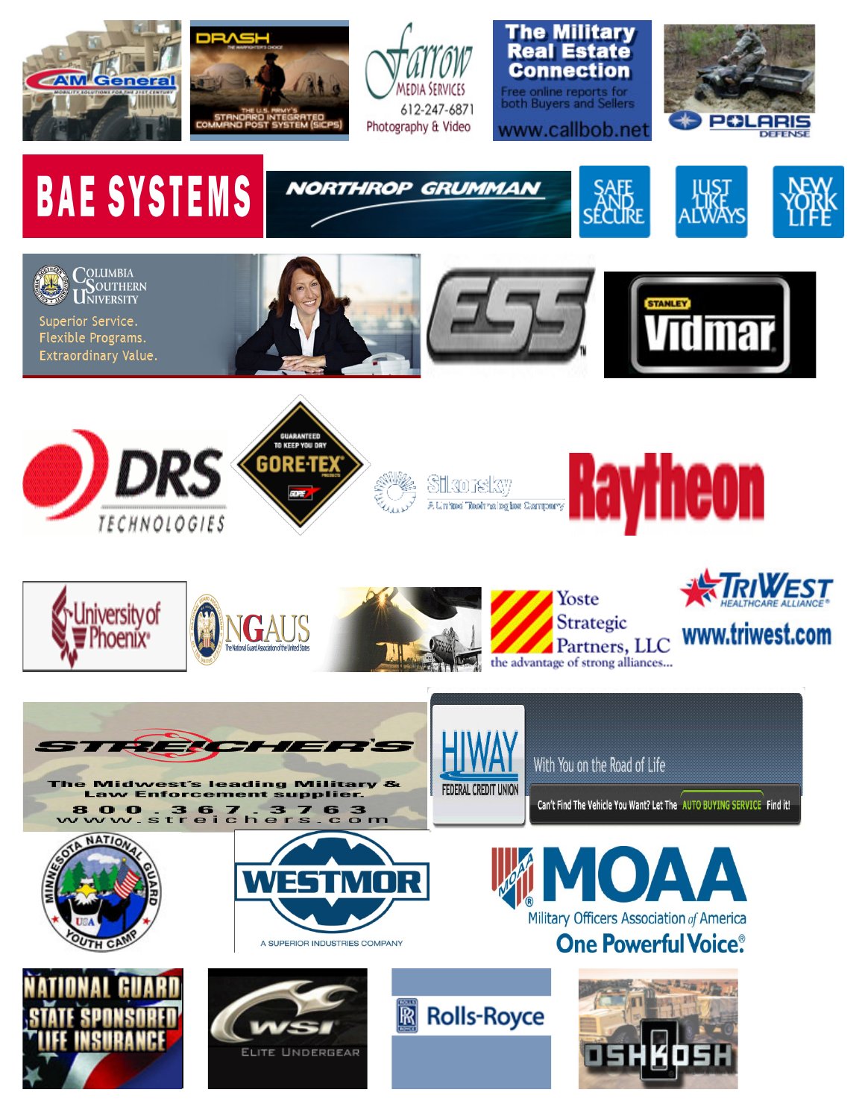

COLUMBIA<br>USOUTHERN<br>UNIVERSITY

Superior Service. Flexible Programs. Extraordinary Value.





**NORTHROP GRUMMAN** 

















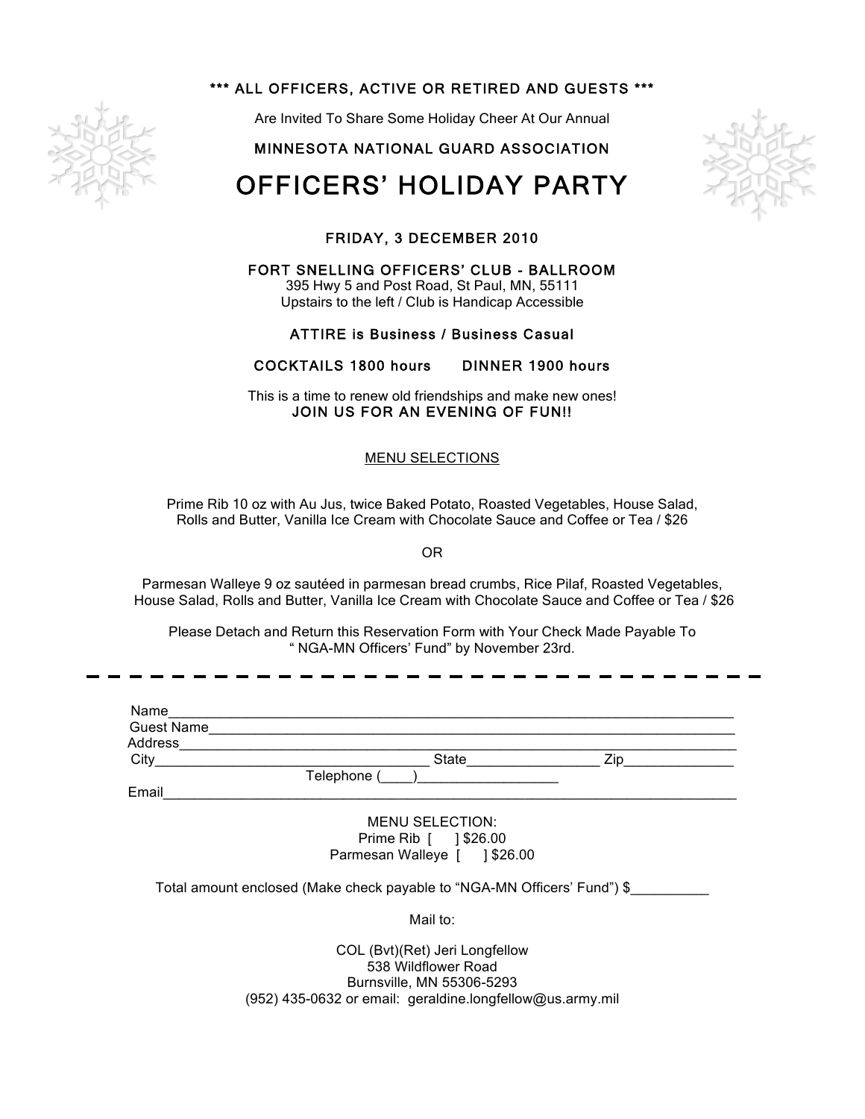

## \*\*\* ALL OFFICERS, ACTIVE OR RETIRED AND GUESTS \*\*\*

Are Invited To Share Some Holiday Cheer At Our Annual

## MINNESOTA NATIONAL GUARD ASSOCIATION

# OFFICERS' HOLIDAY PARTY



## FRIDAY, 3 DECEMBER 2010

FORT SNELLING OFFICERS' CLUB - BALLROOM 395 Hwy 5 and Post Road, St Paul, MN, 55111

Upstairs to the left / Club is Handicap Accessible

## ATTIRE is Business / Business Casual

## COCKTAILS 1800 hours DINNER 1900 hours

This is a time to renew old friendships and make new ones! JOIN US FOR AN EVENING OF FUN!!

## MENU SELECTIONS

Prime Rib 10 oz with Au Jus, twice Baked Potato, Roasted Vegetables, House Salad, Rolls and Butter, Vanilla Ice Cream with Chocolate Sauce and Coffee or Tea / \$26

OR

Parmesan Walleye 9 oz sautéed in parmesan bread crumbs, Rice Pilaf, Roasted Vegetables, House Salad, Rolls and Butter, Vanilla Ice Cream with Chocolate Sauce and Coffee or Tea / \$26

Please Detach and Return this Reservation Form with Your Check Made Payable To " NGA-MN Officers' Fund" by November 23rd.

| Name              |             |              |     |
|-------------------|-------------|--------------|-----|
| <b>Guest Name</b> |             |              |     |
| Address           |             |              |     |
| City              |             | <b>State</b> | 7in |
|                   | Telephone ( |              |     |
| Email             |             |              |     |
|                   |             |              |     |

MENU SELECTION: Prime Rib | 1\$26.00 Parmesan Walleye [ ] \$26.00

Total amount enclosed (Make check payable to "NGA-MN Officers' Fund") \$\_\_\_\_\_\_\_\_\_\_

Mail to:

COL (Bvt)(Ret) Jeri Longfellow 538 Wildflower Road Burnsville, MN 55306-5293 (952) 435-0632 or email: geraldine.longfellow@us.army.mil